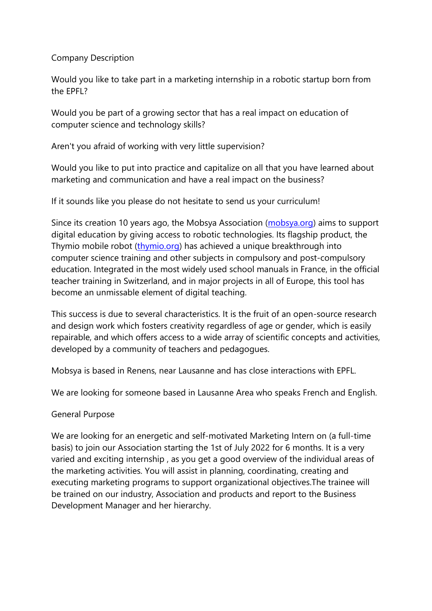## Company Description

Would you like to take part in a marketing internship in a robotic startup born from the EPFL?

Would you be part of a growing sector that has a real impact on education of computer science and technology skills?

Aren't you afraid of working with very little supervision?

Would you like to put into practice and capitalize on all that you have learned about marketing and communication and have a real impact on the business?

If it sounds like you please do not hesitate to send us your curriculum!

Since its creation 10 years ago, the Mobsya Association [\(mobsya.org\)](http://mobsya.org/) aims to support digital education by giving access to robotic technologies. Its flagship product, the Thymio mobile robot [\(thymio.org\)](http://thymio.org/) has achieved a unique breakthrough into computer science training and other subjects in compulsory and post-compulsory education. Integrated in the most widely used school manuals in France, in the official teacher training in Switzerland, and in major projects in all of Europe, this tool has become an unmissable element of digital teaching.

This success is due to several characteristics. It is the fruit of an open-source research and design work which fosters creativity regardless of age or gender, which is easily repairable, and which offers access to a wide array of scientific concepts and activities, developed by a community of teachers and pedagogues.

Mobsya is based in Renens, near Lausanne and has close interactions with EPFL.

We are looking for someone based in Lausanne Area who speaks French and English.

## General Purpose

We are looking for an energetic and self-motivated Marketing Intern on (a full-time basis) to join our Association starting the 1st of July 2022 for 6 months. It is a very varied and exciting internship , as you get a good overview of the individual areas of the marketing activities. You will assist in planning, coordinating, creating and executing marketing programs to support organizational objectives.The trainee will be trained on our industry, Association and products and report to the Business Development Manager and her hierarchy.